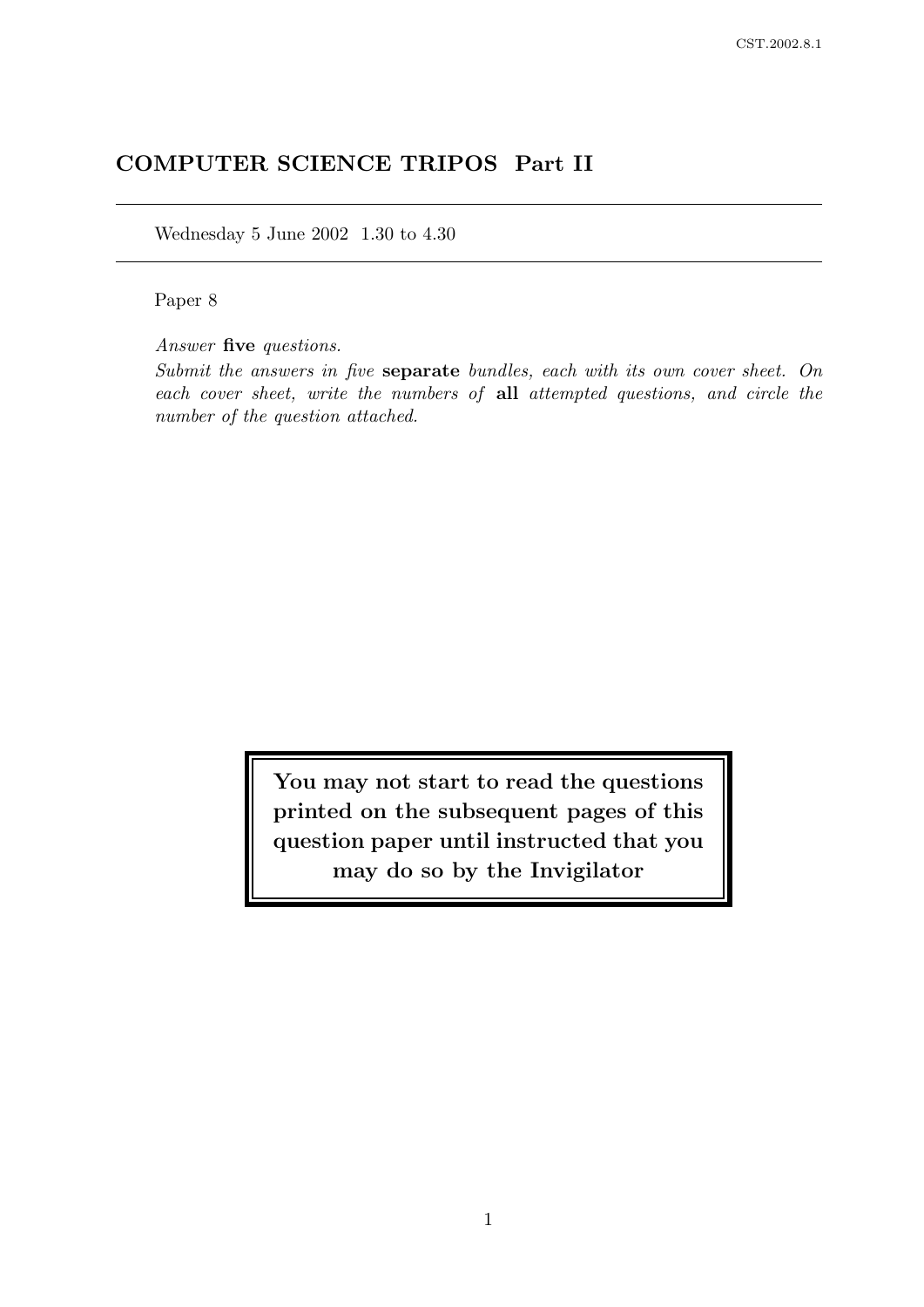# COMPUTER SCIENCE TRIPOS Part II

Wednesday 5 June 2002 1.30 to 4.30

Paper 8

Answer five questions.

Submit the answers in five separate bundles, each with its own cover sheet. On each cover sheet, write the numbers of all attempted questions, and circle the number of the question attached.

> You may not start to read the questions printed on the subsequent pages of this question paper until instructed that you may do so by the Invigilator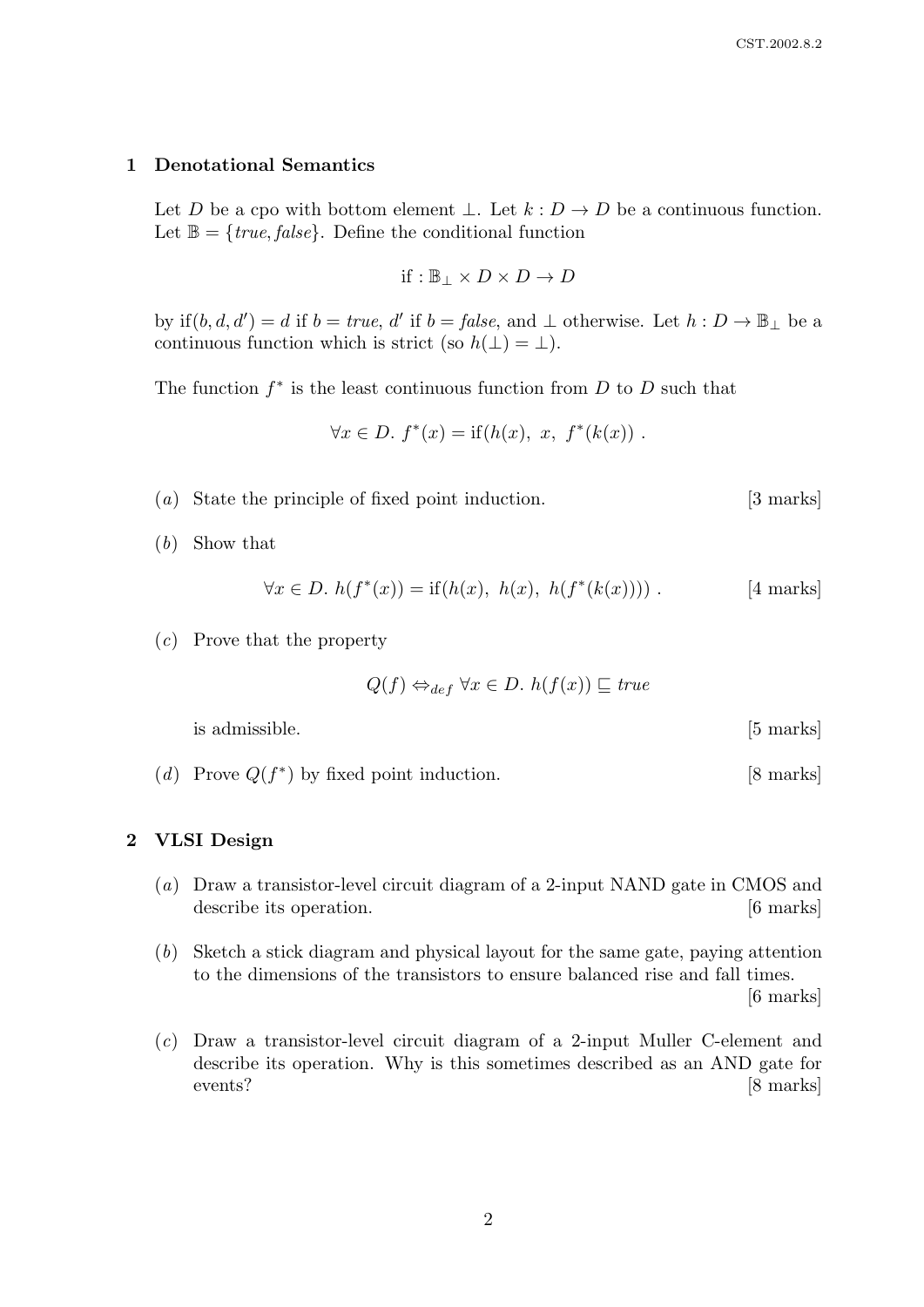### 1 Denotational Semantics

Let D be a cpo with bottom element  $\bot$ . Let  $k : D \to D$  be a continuous function. Let  $\mathbb{B} = \{true, false\}$ . Define the conditional function

$$
\text{if}:\mathbb{B}_\perp \times D \times D \to D
$$

by if  $(b, d, d') = d$  if  $b = true$ , d' if  $b = false$ , and  $\perp$  otherwise. Let  $h : D \to \mathbb{B}_{\perp}$  be a continuous function which is strict (so  $h(\perp) = \perp$ ).

The function  $f^*$  is the least continuous function from  $D$  to  $D$  such that

$$
\forall x \in D. \ f^*(x) = \text{if}(h(x), \ x, \ f^*(k(x)) \ .
$$

- (a) State the principle of fixed point induction. [3 marks]
- (b) Show that

$$
\forall x \in D. \ h(f^*(x)) = \text{if}(h(x), \ h(x), \ h(f^*(k(x)))) \ . \qquad [4 \text{ marks}]
$$

(c) Prove that the property

$$
Q(f) \Leftrightarrow_{def} \forall x \in D. \ h(f(x)) \sqsubseteq \mathit{true}
$$

is admissible. [5 marks]

(*d*) Prove  $Q(f^*)$  by fixed point induction. [8 marks]

# 2 VLSI Design

- (a) Draw a transistor-level circuit diagram of a 2-input NAND gate in CMOS and describe its operation. [6 marks]
- (b) Sketch a stick diagram and physical layout for the same gate, paying attention to the dimensions of the transistors to ensure balanced rise and fall times. [6 marks]
- (c) Draw a transistor-level circuit diagram of a 2-input Muller C-element and describe its operation. Why is this sometimes described as an AND gate for events? [8 marks]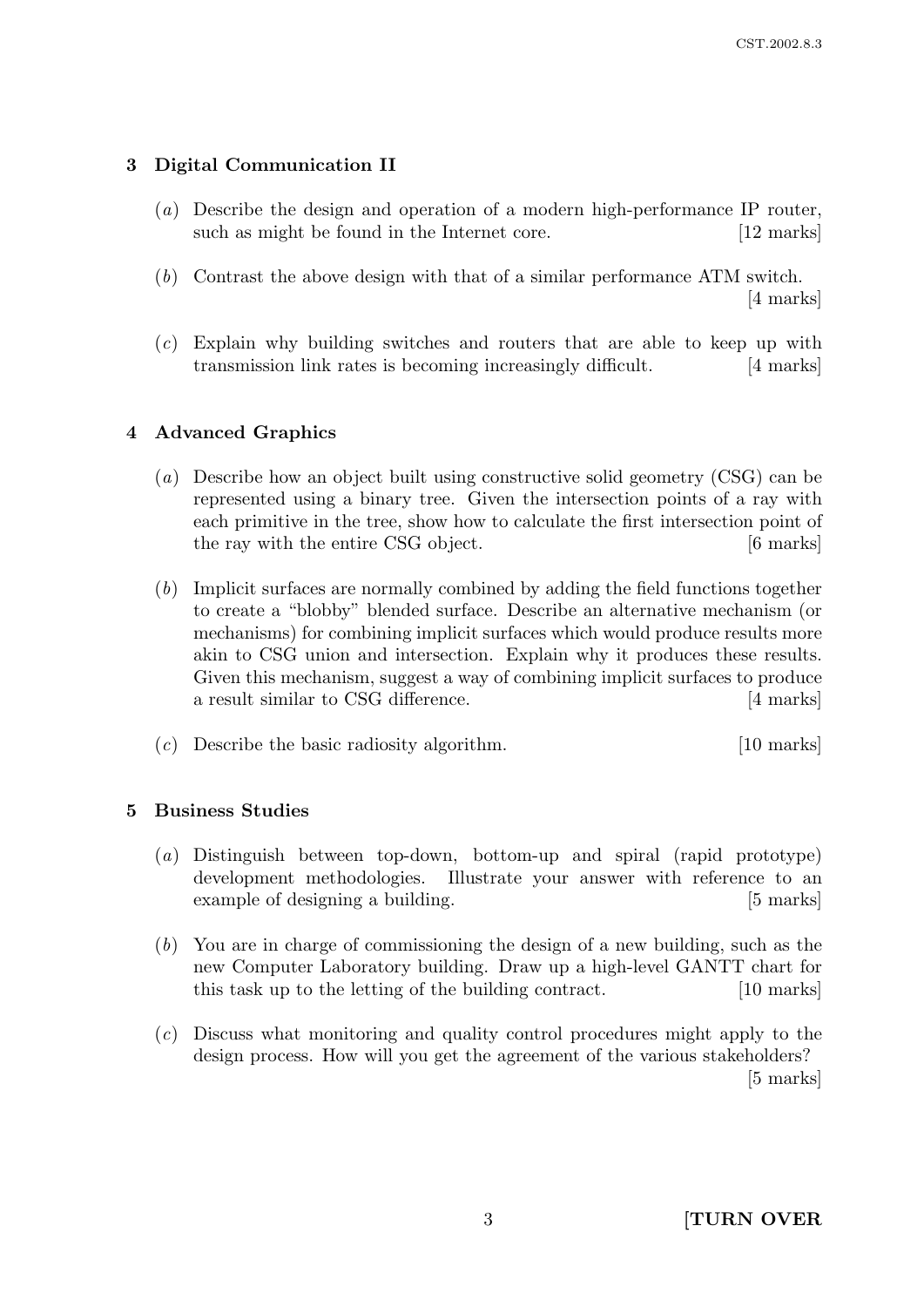# 3 Digital Communication II

- (a) Describe the design and operation of a modern high-performance IP router, such as might be found in the Internet core. [12 marks]
- (b) Contrast the above design with that of a similar performance ATM switch. [4 marks]
- (c) Explain why building switches and routers that are able to keep up with transmission link rates is becoming increasingly difficult. [4 marks]

# 4 Advanced Graphics

- (a) Describe how an object built using constructive solid geometry (CSG) can be represented using a binary tree. Given the intersection points of a ray with each primitive in the tree, show how to calculate the first intersection point of the ray with the entire CSG object. [6 marks]
- (b) Implicit surfaces are normally combined by adding the field functions together to create a "blobby" blended surface. Describe an alternative mechanism (or mechanisms) for combining implicit surfaces which would produce results more akin to CSG union and intersection. Explain why it produces these results. Given this mechanism, suggest a way of combining implicit surfaces to produce a result similar to CSG difference. [4 marks]
- (c) Describe the basic radiosity algorithm. [10 marks]

# 5 Business Studies

- (a) Distinguish between top-down, bottom-up and spiral (rapid prototype) development methodologies. Illustrate your answer with reference to an example of designing a building. [5] marks]
- (b) You are in charge of commissioning the design of a new building, such as the new Computer Laboratory building. Draw up a high-level GANTT chart for this task up to the letting of the building contract. [10 marks]
- (c) Discuss what monitoring and quality control procedures might apply to the design process. How will you get the agreement of the various stakeholders? [5 marks]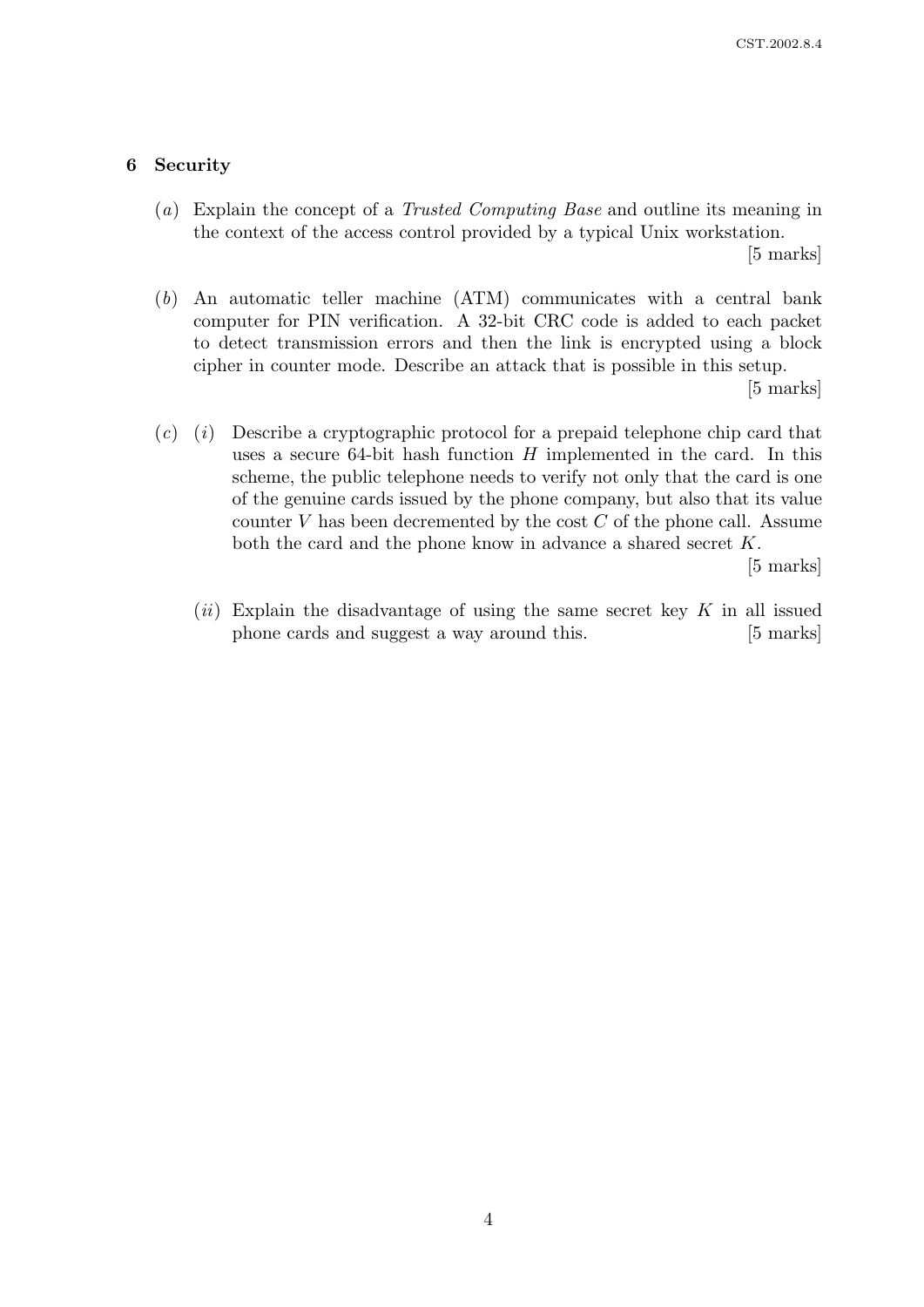## 6 Security

(a) Explain the concept of a Trusted Computing Base and outline its meaning in the context of the access control provided by a typical Unix workstation.

[5 marks]

(b) An automatic teller machine (ATM) communicates with a central bank computer for PIN verification. A 32-bit CRC code is added to each packet to detect transmission errors and then the link is encrypted using a block cipher in counter mode. Describe an attack that is possible in this setup.

[5 marks]

 $(c)$  (i) Describe a cryptographic protocol for a prepaid telephone chip card that uses a secure 64-bit hash function  $H$  implemented in the card. In this scheme, the public telephone needs to verify not only that the card is one of the genuine cards issued by the phone company, but also that its value counter  $V$  has been decremented by the cost  $C$  of the phone call. Assume both the card and the phone know in advance a shared secret K.

[5 marks]

(ii) Explain the disadvantage of using the same secret key  $K$  in all issued phone cards and suggest a way around this. [5 marks]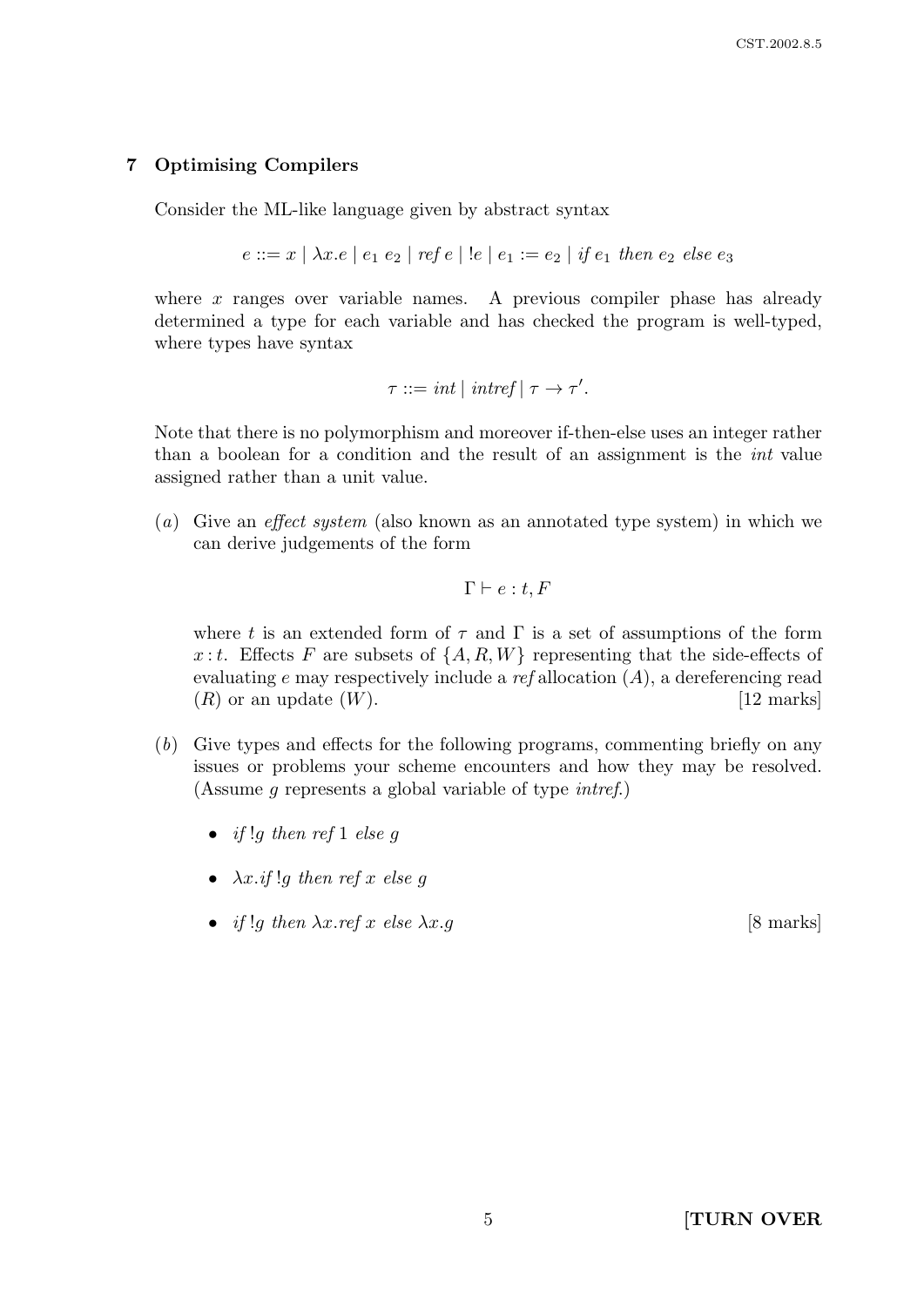# 7 Optimising Compilers

Consider the ML-like language given by abstract syntax

$$
e ::= x \mid \lambda x . e \mid e_1 \ e_2 \mid \text{ref } e \mid ! e \mid e_1 := e_2 \mid \text{if } e_1 \text{ then } e_2 \text{ else } e_3
$$

where  $x$  ranges over variable names. A previous compiler phase has already determined a type for each variable and has checked the program is well-typed, where types have syntax

$$
\tau ::= int \mid interf \mid \tau \to \tau'.
$$

Note that there is no polymorphism and moreover if-then-else uses an integer rather than a boolean for a condition and the result of an assignment is the int value assigned rather than a unit value.

(a) Give an effect system (also known as an annotated type system) in which we can derive judgements of the form

$$
\Gamma \vdash e:t, F
$$

where t is an extended form of  $\tau$  and  $\Gamma$  is a set of assumptions of the form x: t. Effects F are subsets of  $\{A, R, W\}$  representing that the side-effects of evaluating e may respectively include a ref allocation  $(A)$ , a dereferencing read  $(R)$  or an update  $(W)$ . [12 marks]

- (b) Give types and effects for the following programs, commenting briefly on any issues or problems your scheme encounters and how they may be resolved. (Assume g represents a global variable of type intref.)
	- if !q then ref 1 else q
	- $\lambda x$ .if !a then ref x else q
	- if !g then  $\lambda x.$  ref x else  $\lambda x.$  g [8 marks]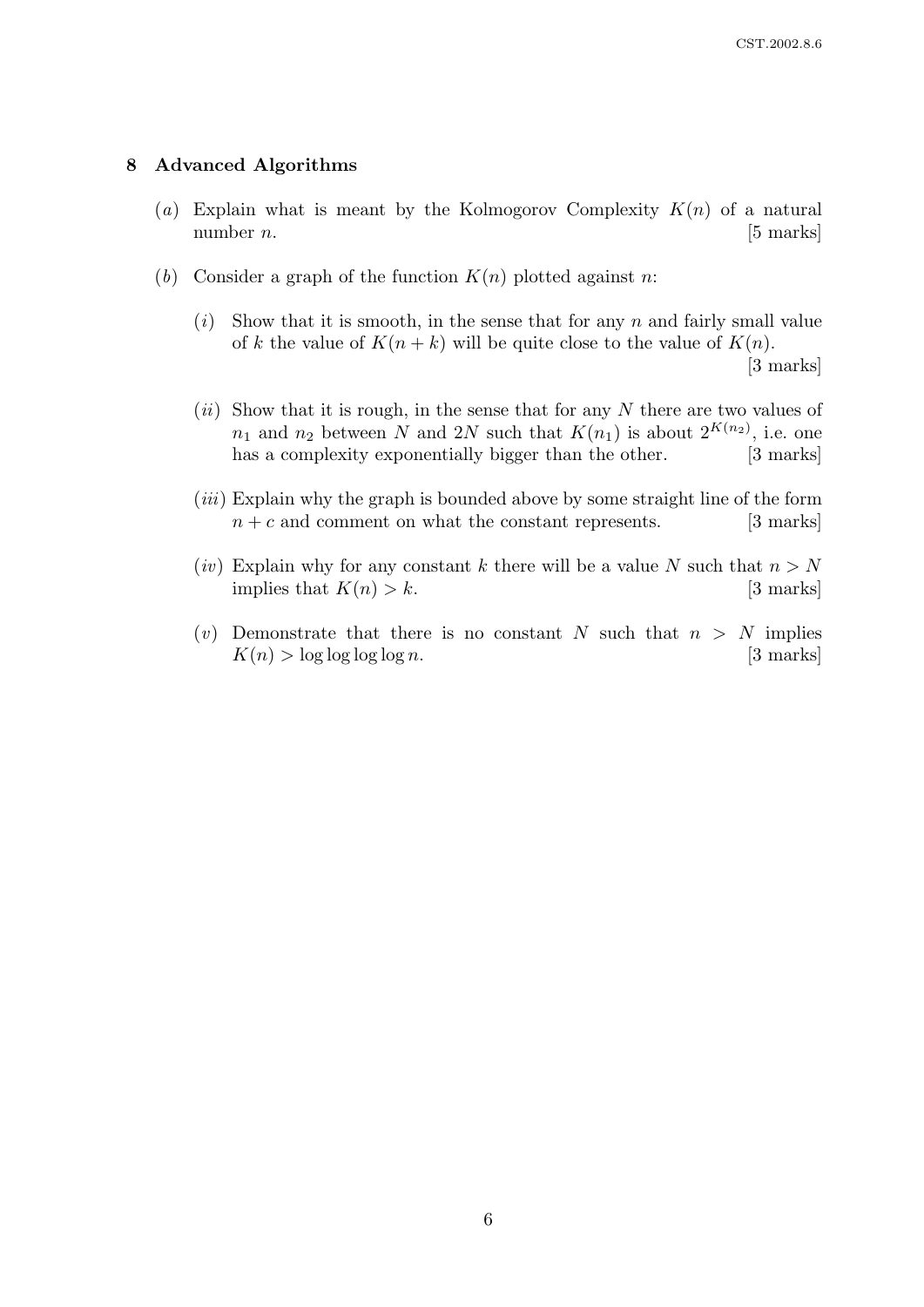## 8 Advanced Algorithms

- (a) Explain what is meant by the Kolmogorov Complexity  $K(n)$  of a natural number  $n$ . [5 marks]
- (b) Consider a graph of the function  $K(n)$  plotted against n:
	- $(i)$  Show that it is smooth, in the sense that for any n and fairly small value of k the value of  $K(n+k)$  will be quite close to the value of  $K(n)$ . [3 marks]
	- $(ii)$  Show that it is rough, in the sense that for any N there are two values of  $n_1$  and  $n_2$  between N and 2N such that  $K(n_1)$  is about  $2^{K(n_2)}$ , i.e. one has a complexity exponentially bigger than the other. [3 marks]
	- $(iii)$  Explain why the graph is bounded above by some straight line of the form  $n + c$  and comment on what the constant represents. [3 marks]
	- (iv) Explain why for any constant k there will be a value N such that  $n > N$ implies that  $K(n) > k$ . [3 marks]
	- (v) Demonstrate that there is no constant N such that  $n > N$  implies  $K(n) > \log \log \log n$ . [3 marks]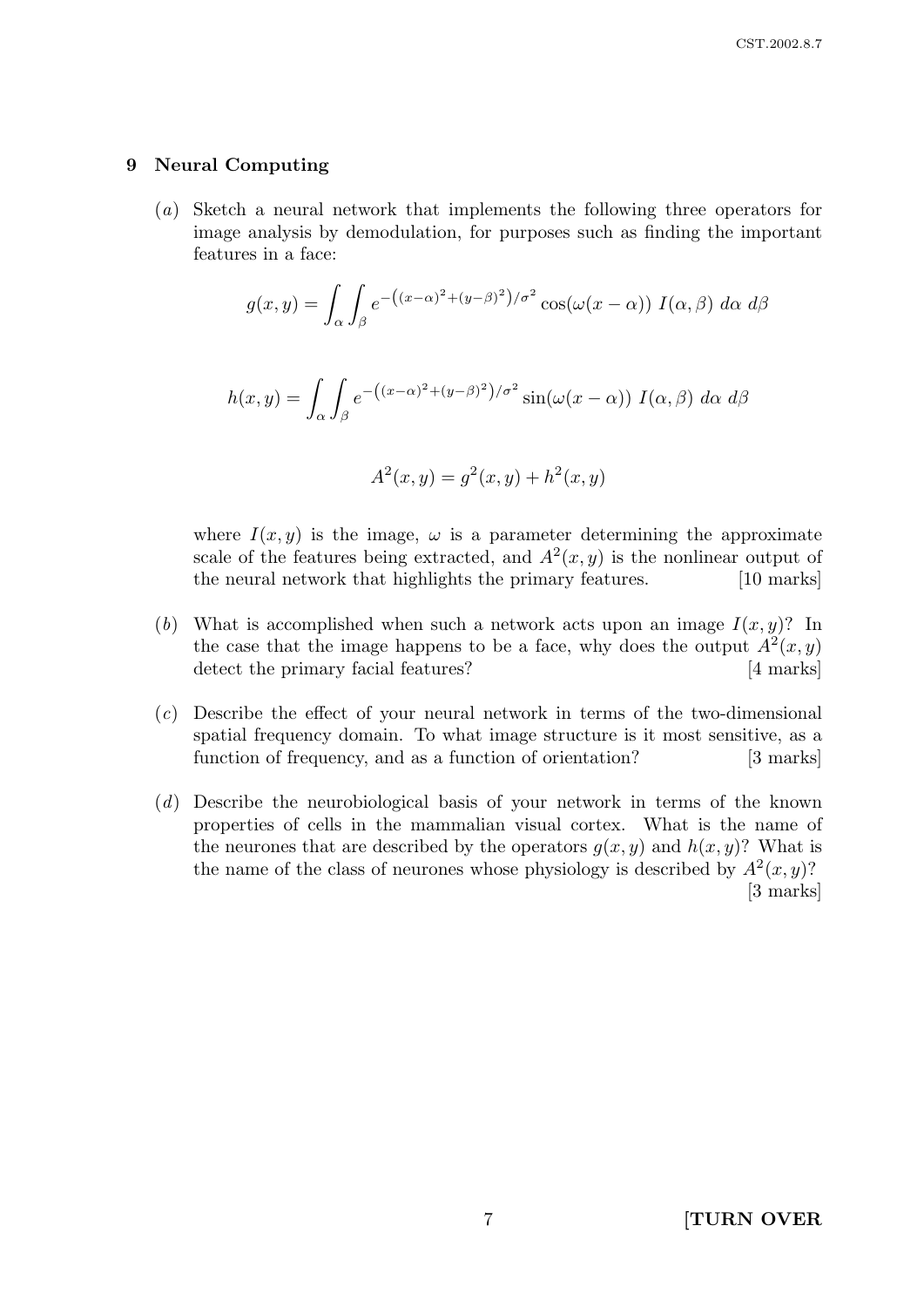## 9 Neural Computing

(a) Sketch a neural network that implements the following three operators for image analysis by demodulation, for purposes such as finding the important features in a face:

$$
g(x,y) = \int_{\alpha} \int_{\beta} e^{-\left((x-\alpha)^2 + (y-\beta)^2\right)/\sigma^2} \cos(\omega(x-\alpha)) I(\alpha,\beta) d\alpha d\beta
$$

$$
h(x,y) = \int_{\alpha} \int_{\beta} e^{-\left((x-\alpha)^2 + (y-\beta)^2\right)/\sigma^2} \sin(\omega(x-\alpha)) \ I(\alpha,\beta) \ d\alpha \ d\beta
$$

$$
A^{2}(x, y) = g^{2}(x, y) + h^{2}(x, y)
$$

where  $I(x, y)$  is the image,  $\omega$  is a parameter determining the approximate scale of the features being extracted, and  $A^2(x, y)$  is the nonlinear output of the neural network that highlights the primary features. [10 marks]

- (b) What is accomplished when such a network acts upon an image  $I(x, y)$ ? In the case that the image happens to be a face, why does the output  $A^2(x, y)$ detect the primary facial features? [4 marks]
- (c) Describe the effect of your neural network in terms of the two-dimensional spatial frequency domain. To what image structure is it most sensitive, as a function of frequency, and as a function of orientation? [3 marks]
- (d) Describe the neurobiological basis of your network in terms of the known properties of cells in the mammalian visual cortex. What is the name of the neurones that are described by the operators  $g(x, y)$  and  $h(x, y)$ ? What is the name of the class of neurones whose physiology is described by  $A^2(x, y)$ ? [3 marks]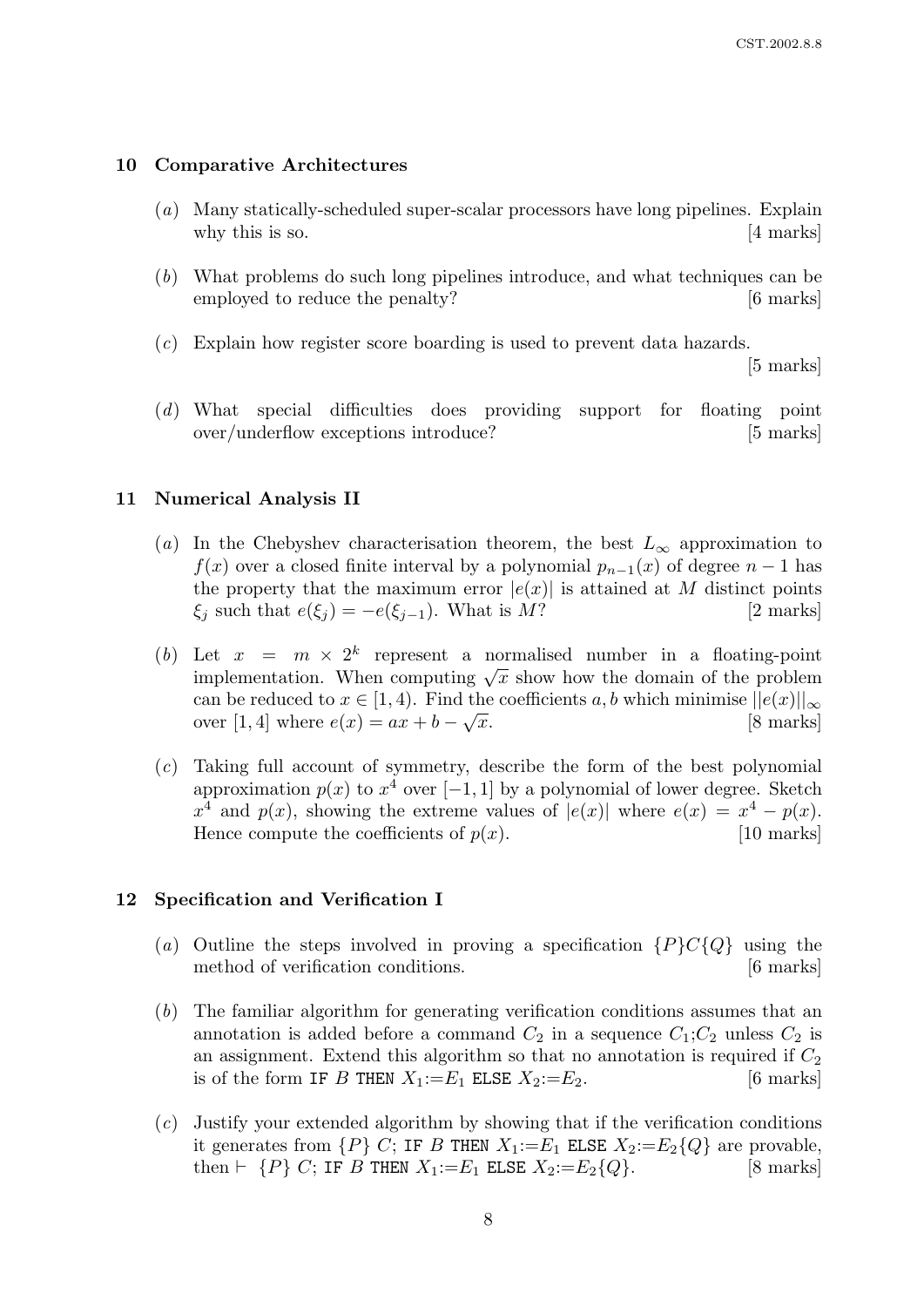#### 10 Comparative Architectures

- (a) Many statically-scheduled super-scalar processors have long pipelines. Explain why this is so. [4 marks]
- (b) What problems do such long pipelines introduce, and what techniques can be employed to reduce the penalty? [6 marks]
- (c) Explain how register score boarding is used to prevent data hazards.

[5 marks]

(d) What special difficulties does providing support for floating point over/underflow exceptions introduce? [5 marks]

#### 11 Numerical Analysis II

- (a) In the Chebyshev characterisation theorem, the best  $L_{\infty}$  approximation to  $f(x)$  over a closed finite interval by a polynomial  $p_{n-1}(x)$  of degree  $n-1$  has the property that the maximum error  $|e(x)|$  is attained at M distinct points  $\xi_j$  such that  $e(\xi_j) = -e(\xi_{j-1})$ . What is M? [2 marks]
- (b) Let  $x = m \times 2^k$  represent a normalised number in a floating-point Let  $x = m \times 2$  represent a normalised number in a notating-point<br>implementation. When computing  $\sqrt{x}$  show how the domain of the problem can be reduced to  $x \in [1, 4)$ . Find the coefficients a, b which minimise  $||e(x)||_{\infty}$ over [1, 4] where  $e(x) = ax + b - \sqrt{x}$ . [8 marks]
- (c) Taking full account of symmetry, describe the form of the best polynomial approximation  $p(x)$  to  $x^4$  over [−1, 1] by a polynomial of lower degree. Sketch  $x^4$  and  $p(x)$ , showing the extreme values of  $|e(x)|$  where  $e(x) = x^4 - p(x)$ . Hence compute the coefficients of  $p(x)$ . [10 marks]

#### 12 Specification and Verification I

- (a) Outline the steps involved in proving a specification  ${P}C{Q}$  using the method of verification conditions. [6 marks]
- (b) The familiar algorithm for generating verification conditions assumes that an annotation is added before a command  $C_2$  in a sequence  $C_1; C_2$  unless  $C_2$  is an assignment. Extend this algorithm so that no annotation is required if  $C_2$ is of the form IF B THEN  $X_1:=E_1$  ELSE  $X_2:=E_2$ . [6 marks]
- (c) Justify your extended algorithm by showing that if the verification conditions it generates from  $\{P\}$  C; IF B THEN  $X_1:=E_1$  ELSE  $X_2:=E_2\{Q\}$  are provable, then  $\vdash \{P\}$  C; IF B THEN  $X_1:=E_1$  ELSE  $X_2:=E_2\{Q\}.$  [8 marks]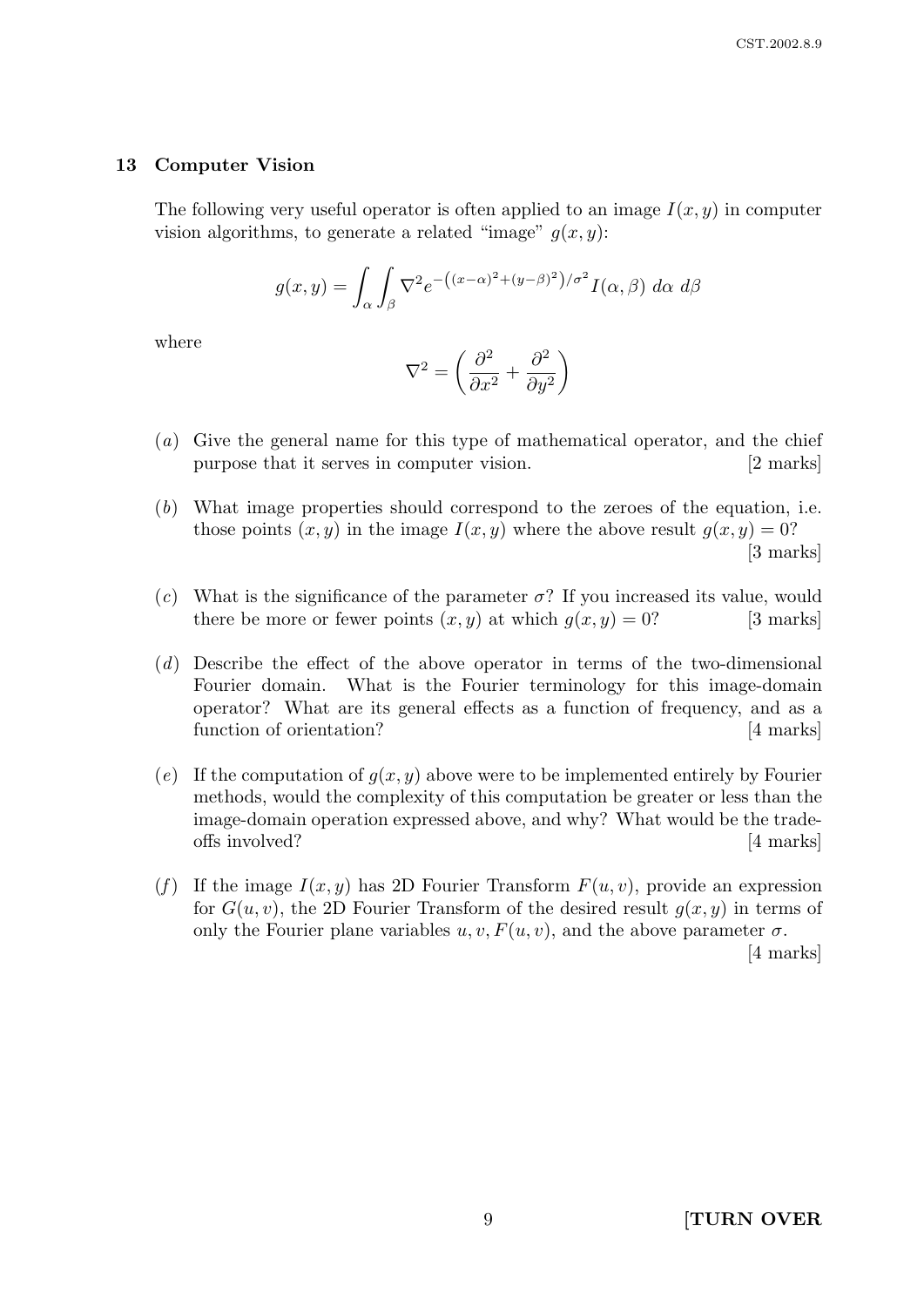#### 13 Computer Vision

The following very useful operator is often applied to an image  $I(x, y)$  in computer vision algorithms, to generate a related "image"  $q(x, y)$ :

$$
g(x,y) = \int_{\alpha} \int_{\beta} \nabla^2 e^{-\left((x-\alpha)^2 + (y-\beta)^2\right)/\sigma^2} I(\alpha,\beta) \, d\alpha \, d\beta
$$

where

$$
\nabla^2 = \left(\frac{\partial^2}{\partial x^2} + \frac{\partial^2}{\partial y^2}\right)
$$

- (a) Give the general name for this type of mathematical operator, and the chief purpose that it serves in computer vision. [2 marks]
- (b) What image properties should correspond to the zeroes of the equation, i.e. those points  $(x, y)$  in the image  $I(x, y)$  where the above result  $q(x, y) = 0$ ? [3 marks]
- (c) What is the significance of the parameter  $\sigma$ ? If you increased its value, would there be more or fewer points  $(x, y)$  at which  $q(x, y) = 0$ ? [3 marks]
- (d) Describe the effect of the above operator in terms of the two-dimensional Fourier domain. What is the Fourier terminology for this image-domain operator? What are its general effects as a function of frequency, and as a function of orientation? [4 marks]
- (e) If the computation of  $q(x, y)$  above were to be implemented entirely by Fourier methods, would the complexity of this computation be greater or less than the image-domain operation expressed above, and why? What would be the tradeoffs involved? [4 marks]
- (f) If the image  $I(x, y)$  has 2D Fourier Transform  $F(u, v)$ , provide an expression for  $G(u, v)$ , the 2D Fourier Transform of the desired result  $q(x, y)$  in terms of only the Fourier plane variables  $u, v, F(u, v)$ , and the above parameter  $\sigma$ .

[4 marks]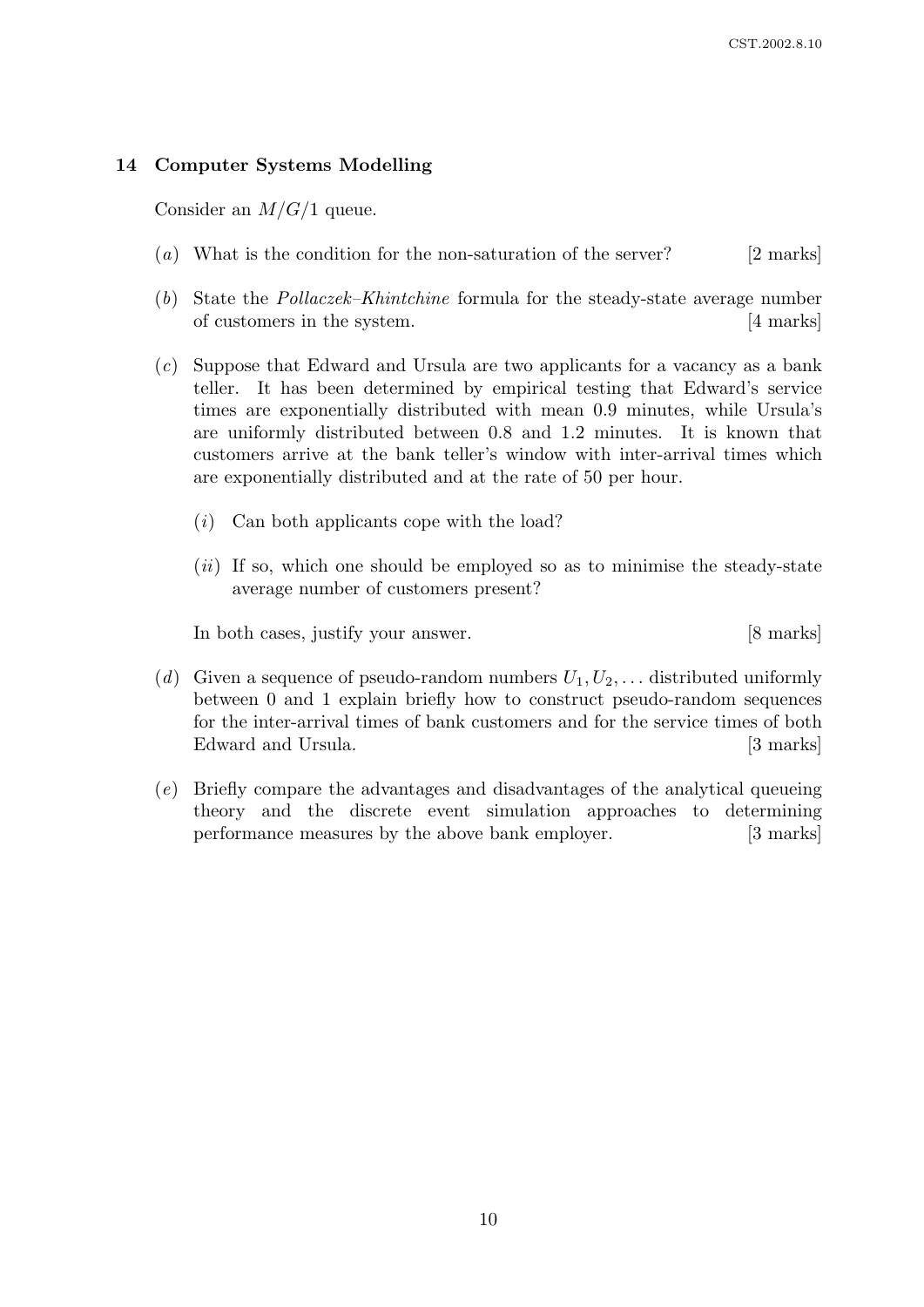# 14 Computer Systems Modelling

Consider an  $M/G/1$  queue.

- (a) What is the condition for the non-saturation of the server? [2 marks]
- (b) State the Pollaczek–Khintchine formula for the steady-state average number of customers in the system. [4 marks]
- (c) Suppose that Edward and Ursula are two applicants for a vacancy as a bank teller. It has been determined by empirical testing that Edward's service times are exponentially distributed with mean 0.9 minutes, while Ursula's are uniformly distributed between 0.8 and 1.2 minutes. It is known that customers arrive at the bank teller's window with inter-arrival times which are exponentially distributed and at the rate of 50 per hour.
	- (i) Can both applicants cope with the load?
	- $(ii)$  If so, which one should be employed so as to minimise the steady-state average number of customers present?

In both cases, justify your answer. [8 marks]

- (d) Given a sequence of pseudo-random numbers  $U_1, U_2, \ldots$  distributed uniformly between 0 and 1 explain briefly how to construct pseudo-random sequences for the inter-arrival times of bank customers and for the service times of both Edward and Ursula. [3 marks]
- (e) Briefly compare the advantages and disadvantages of the analytical queueing theory and the discrete event simulation approaches to determining performance measures by the above bank employer. [3 marks]